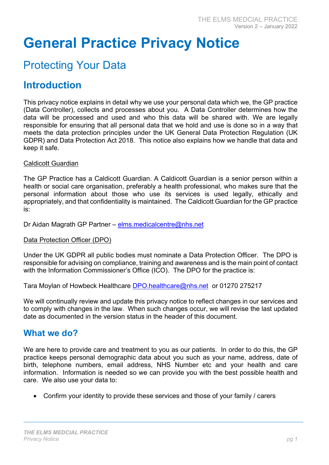# General Practice Privacy Notice

# Protecting Your Data

# Introduction

This privacy notice explains in detail why we use your personal data which we, the GP practice (Data Controller), collects and processes about you. A Data Controller determines how the data will be processed and used and who this data will be shared with. We are legally responsible for ensuring that all personal data that we hold and use is done so in a way that meets the data protection principles under the UK General Data Protection Regulation (UK GDPR) and Data Protection Act 2018. This notice also explains how we handle that data and keep it safe.

#### Caldicott Guardian

The GP Practice has a Caldicott Guardian. A Caldicott Guardian is a senior person within a health or social care organisation, preferably a health professional, who makes sure that the personal information about those who use its services is used legally, ethically and appropriately, and that confidentiality is maintained. The Caldicott Guardian for the GP practice is:

Dr Aidan Magrath GP Partner – elms.medicalcentre@nhs.net

#### Data Protection Officer (DPO)

Under the UK GDPR all public bodies must nominate a Data Protection Officer. The DPO is responsible for advising on compliance, training and awareness and is the main point of contact with the Information Commissioner's Office (ICO). The DPO for the practice is:

Tara Moylan of Howbeck Healthcare DPO.healthcare@nhs.net or 01270 275217

We will continually review and update this privacy notice to reflect changes in our services and to comply with changes in the law. When such changes occur, we will revise the last updated date as documented in the version status in the header of this document.

### What we do?

We are here to provide care and treatment to you as our patients. In order to do this, the GP practice keeps personal demographic data about you such as your name, address, date of birth, telephone numbers, email address, NHS Number etc and your health and care information. Information is needed so we can provide you with the best possible health and care. We also use your data to:

Confirm your identity to provide these services and those of your family / carers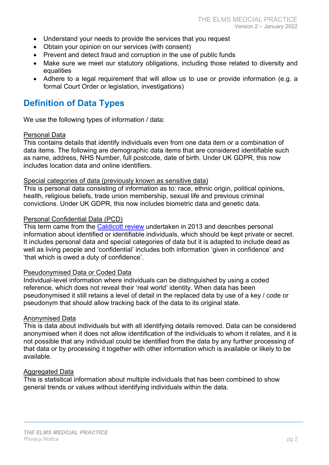- Understand your needs to provide the services that you request
- Obtain your opinion on our services (with consent)
- Prevent and detect fraud and corruption in the use of public funds
- Make sure we meet our statutory obligations, including those related to diversity and equalities
- Adhere to a legal requirement that will allow us to use or provide information (e.g. a formal Court Order or legislation, investigations)

# Definition of Data Types

We use the following types of information / data:

#### Personal Data

This contains details that identify individuals even from one data item or a combination of data items. The following are demographic data items that are considered identifiable such as name, address, NHS Number, full postcode, date of birth. Under UK GDPR, this now includes location data and online identifiers.

#### Special categories of data (previously known as sensitive data)

This is personal data consisting of information as to: race, ethnic origin, political opinions, health, religious beliefs, trade union membership, sexual life and previous criminal convictions. Under UK GDPR, this now includes biometric data and genetic data.

#### Personal Confidential Data (PCD)

This term came from the Caldicott review undertaken in 2013 and describes personal information about identified or identifiable individuals, which should be kept private or secret. It includes personal data and special categories of data but it is adapted to include dead as well as living people and 'confidential' includes both information 'given in confidence' and 'that which is owed a duty of confidence'.

#### Pseudonymised Data or Coded Data

Individual-level information where individuals can be distinguished by using a coded reference, which does not reveal their 'real world' identity. When data has been pseudonymised it still retains a level of detail in the replaced data by use of a key / code or pseudonym that should allow tracking back of the data to its original state.

#### Anonymised Data

This is data about individuals but with all identifying details removed. Data can be considered anonymised when it does not allow identification of the individuals to whom it relates, and it is not possible that any individual could be identified from the data by any further processing of that data or by processing it together with other information which is available or likely to be available.

#### Aggregated Data

This is statistical information about multiple individuals that has been combined to show general trends or values without identifying individuals within the data.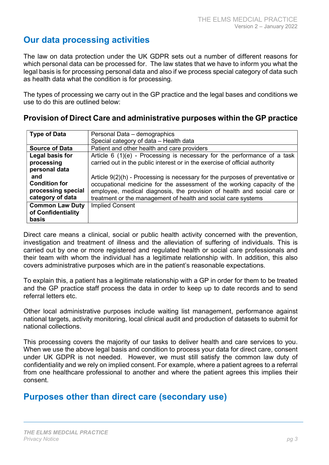# Our data processing activities

The law on data protection under the UK GDPR sets out a number of different reasons for which personal data can be processed for. The law states that we have to inform you what the legal basis is for processing personal data and also if we process special category of data such as health data what the condition is for processing.

The types of processing we carry out in the GP practice and the legal bases and conditions we use to do this are outlined below:

#### Provision of Direct Care and administrative purposes within the GP practice

| <b>Type of Data</b>    | Personal Data - demographics                                                    |
|------------------------|---------------------------------------------------------------------------------|
|                        | Special category of data - Health data                                          |
| <b>Source of Data</b>  | Patient and other health and care providers                                     |
| Legal basis for        | Article 6 (1)(e) - Processing is necessary for the performance of a task        |
| processing             | carried out in the public interest or in the exercise of official authority     |
| personal data          |                                                                                 |
| and                    | Article $9(2)(h)$ - Processing is necessary for the purposes of preventative or |
| <b>Condition for</b>   | occupational medicine for the assessment of the working capacity of the         |
| processing special     | employee, medical diagnosis, the provision of health and social care or         |
| category of data       | treatment or the management of health and social care systems                   |
| <b>Common Law Duty</b> | <b>Implied Consent</b>                                                          |
| of Confidentiality     |                                                                                 |
| basis                  |                                                                                 |

Direct care means a clinical, social or public health activity concerned with the prevention, investigation and treatment of illness and the alleviation of suffering of individuals. This is carried out by one or more registered and regulated health or social care professionals and their team with whom the individual has a legitimate relationship with. In addition, this also covers administrative purposes which are in the patient's reasonable expectations.

To explain this, a patient has a legitimate relationship with a GP in order for them to be treated and the GP practice staff process the data in order to keep up to date records and to send referral letters etc.

Other local administrative purposes include waiting list management, performance against national targets, activity monitoring, local clinical audit and production of datasets to submit for national collections.

This processing covers the majority of our tasks to deliver health and care services to you. When we use the above legal basis and condition to process your data for direct care, consent under UK GDPR is not needed. However, we must still satisfy the common law duty of confidentiality and we rely on implied consent. For example, where a patient agrees to a referral from one healthcare professional to another and where the patient agrees this implies their consent.

# Purposes other than direct care (secondary use)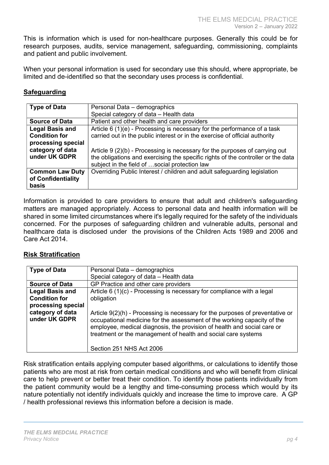This is information which is used for non-healthcare purposes. Generally this could be for research purposes, audits, service management, safeguarding, commissioning, complaints and patient and public involvement.

When your personal information is used for secondary use this should, where appropriate, be limited and de-identified so that the secondary uses process is confidential.

#### **Safeguarding**

| <b>Type of Data</b>    | Personal Data - demographics                                                     |
|------------------------|----------------------------------------------------------------------------------|
|                        | Special category of data - Health data                                           |
| <b>Source of Data</b>  | Patient and other health and care providers                                      |
| <b>Legal Basis and</b> | Article 6 (1)(e) - Processing is necessary for the performance of a task         |
| <b>Condition for</b>   | carried out in the public interest or in the exercise of official authority      |
| processing special     |                                                                                  |
| category of data       | Article $9(2)(b)$ - Processing is necessary for the purposes of carrying out     |
| under UK GDPR          | the obligations and exercising the specific rights of the controller or the data |
|                        | subject in the field of social protection law                                    |
| <b>Common Law Duty</b> | Overriding Public Interest / children and adult safeguarding legislation         |
| of Confidentiality     |                                                                                  |
| basis                  |                                                                                  |

Information is provided to care providers to ensure that adult and children's safeguarding matters are managed appropriately. Access to personal data and health information will be shared in some limited circumstances where it's legally required for the safety of the individuals concerned. For the purposes of safeguarding children and vulnerable adults, personal and healthcare data is disclosed under the provisions of the Children Acts 1989 and 2006 and Care Act 2014.

#### Risk Stratification

| <b>Type of Data</b>               | Personal Data - demographics                                                                                                                                                                                                                                                                         |
|-----------------------------------|------------------------------------------------------------------------------------------------------------------------------------------------------------------------------------------------------------------------------------------------------------------------------------------------------|
|                                   | Special category of data - Health data                                                                                                                                                                                                                                                               |
| <b>Source of Data</b>             | GP Practice and other care providers                                                                                                                                                                                                                                                                 |
| <b>Legal Basis and</b>            | Article 6 (1)(c) - Processing is necessary for compliance with a legal                                                                                                                                                                                                                               |
| <b>Condition for</b>              | obligation                                                                                                                                                                                                                                                                                           |
| processing special                |                                                                                                                                                                                                                                                                                                      |
| category of data<br>under UK GDPR | Article 9(2)(h) - Processing is necessary for the purposes of preventative or<br>occupational medicine for the assessment of the working capacity of the<br>employee, medical diagnosis, the provision of health and social care or<br>treatment or the management of health and social care systems |
|                                   | Section 251 NHS Act 2006                                                                                                                                                                                                                                                                             |

Risk stratification entails applying computer based algorithms, or calculations to identify those patients who are most at risk from certain medical conditions and who will benefit from clinical care to help prevent or better treat their condition. To identify those patients individually from the patient community would be a lengthy and time-consuming process which would by its nature potentially not identify individuals quickly and increase the time to improve care. A GP / health professional reviews this information before a decision is made.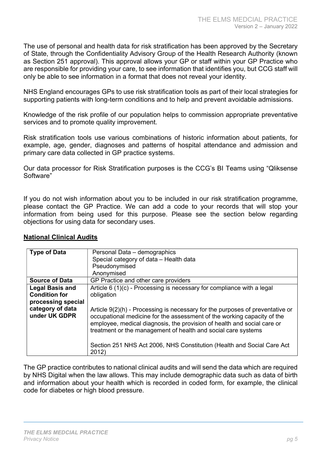The use of personal and health data for risk stratification has been approved by the Secretary of State, through the Confidentiality Advisory Group of the Health Research Authority (known as Section 251 approval). This approval allows your GP or staff within your GP Practice who are responsible for providing your care, to see information that identifies you, but CCG staff will only be able to see information in a format that does not reveal your identity.

NHS England encourages GPs to use risk stratification tools as part of their local strategies for supporting patients with long-term conditions and to help and prevent avoidable admissions.

Knowledge of the risk profile of our population helps to commission appropriate preventative services and to promote quality improvement.

Risk stratification tools use various combinations of historic information about patients, for example, age, gender, diagnoses and patterns of hospital attendance and admission and primary care data collected in GP practice systems.

Our data processor for Risk Stratification purposes is the CCG's BI Teams using "Qliksense Software"

If you do not wish information about you to be included in our risk stratification programme, please contact the GP Practice. We can add a code to your records that will stop your information from being used for this purpose. Please see the section below regarding objections for using data for secondary uses.

| <b>Type of Data</b>               | Personal Data - demographics                                                                                                                                                                                                                                                                           |
|-----------------------------------|--------------------------------------------------------------------------------------------------------------------------------------------------------------------------------------------------------------------------------------------------------------------------------------------------------|
|                                   | Special category of data - Health data                                                                                                                                                                                                                                                                 |
|                                   | Pseudonymised                                                                                                                                                                                                                                                                                          |
|                                   | Anonymised                                                                                                                                                                                                                                                                                             |
| <b>Source of Data</b>             | GP Practice and other care providers                                                                                                                                                                                                                                                                   |
| <b>Legal Basis and</b>            | Article $6(1)(c)$ - Processing is necessary for compliance with a legal                                                                                                                                                                                                                                |
| <b>Condition for</b>              | obligation                                                                                                                                                                                                                                                                                             |
| processing special                |                                                                                                                                                                                                                                                                                                        |
| category of data<br>under UK GDPR | Article $9(2)(h)$ - Processing is necessary for the purposes of preventative or<br>occupational medicine for the assessment of the working capacity of the<br>employee, medical diagnosis, the provision of health and social care or<br>treatment or the management of health and social care systems |
|                                   | Section 251 NHS Act 2006, NHS Constitution (Health and Social Care Act<br>2012)                                                                                                                                                                                                                        |

#### National Clinical Audits

The GP practice contributes to national clinical audits and will send the data which are required by NHS Digital when the law allows. This may include demographic data such as data of birth and information about your health which is recorded in coded form, for example, the clinical code for diabetes or high blood pressure.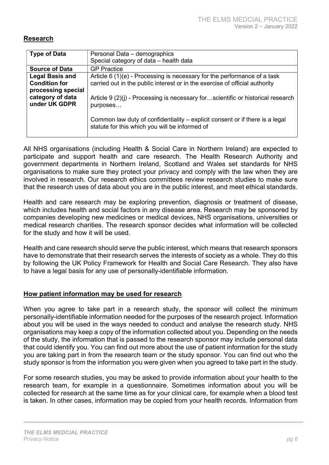#### Research

| <b>Type of Data</b>                                                  | Personal Data - demographics<br>Special category of data - health data                                                                                   |
|----------------------------------------------------------------------|----------------------------------------------------------------------------------------------------------------------------------------------------------|
| <b>Source of Data</b>                                                | <b>GP Practice</b>                                                                                                                                       |
| <b>Legal Basis and</b><br><b>Condition for</b><br>processing special | Article $6(1)(e)$ - Processing is necessary for the performance of a task<br>carried out in the public interest or in the exercise of official authority |
| category of data<br>under UK GDPR                                    | Article 9 (2)(j) - Processing is necessary forscientific or historical research<br>purposes                                                              |
|                                                                      | Common law duty of confidentiality - explicit consent or if there is a legal<br>statute for this which you will be informed of                           |

All NHS organisations (including Health & Social Care in Northern Ireland) are expected to participate and support health and care research. The Health Research Authority and government departments in Northern Ireland, Scotland and Wales set standards for NHS organisations to make sure they protect your privacy and comply with the law when they are involved in research. Our research ethics committees review research studies to make sure that the research uses of data about you are in the public interest, and meet ethical standards.

Health and care research may be exploring prevention, diagnosis or treatment of disease, which includes health and social factors in any disease area. Research may be sponsored by companies developing new medicines or medical devices, NHS organisations, universities or medical research charities. The research sponsor decides what information will be collected for the study and how it will be used.

Health and care research should serve the public interest, which means that research sponsors have to demonstrate that their research serves the interests of society as a whole. They do this by following the UK Policy Framework for Health and Social Care Research. They also have to have a legal basis for any use of personally-identifiable information.

#### How patient information may be used for research

When you agree to take part in a research study, the sponsor will collect the minimum personally-identifiable information needed for the purposes of the research project. Information about you will be used in the ways needed to conduct and analyse the research study. NHS organisations may keep a copy of the information collected about you. Depending on the needs of the study, the information that is passed to the research sponsor may include personal data that could identify you. You can find out more about the use of patient information for the study you are taking part in from the research team or the study sponsor. You can find out who the study sponsor is from the information you were given when you agreed to take part in the study.

For some research studies, you may be asked to provide information about your health to the research team, for example in a questionnaire. Sometimes information about you will be collected for research at the same time as for your clinical care, for example when a blood test is taken. In other cases, information may be copied from your health records. Information from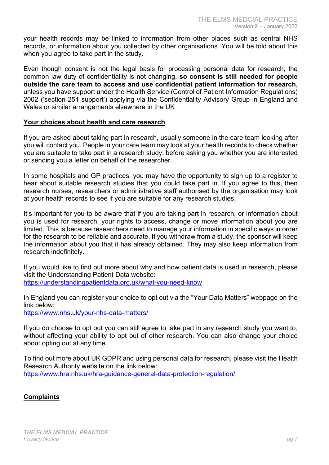your health records may be linked to information from other places such as central NHS records, or information about you collected by other organisations. You will be told about this when you agree to take part in the study.

Even though consent is not the legal basis for processing personal data for research, the common law duty of confidentiality is not changing, so consent is still needed for people outside the care team to access and use confidential patient information for research, unless you have support under the Health Service (Control of Patient Information Regulations) 2002 ('section 251 support') applying via the Confidentiality Advisory Group in England and Wales or similar arrangements elsewhere in the UK

#### Your choices about health and care research

If you are asked about taking part in research, usually someone in the care team looking after you will contact you. People in your care team may look at your health records to check whether you are suitable to take part in a research study, before asking you whether you are interested or sending you a letter on behalf of the researcher.

In some hospitals and GP practices, you may have the opportunity to sign up to a register to hear about suitable research studies that you could take part in. If you agree to this, then research nurses, researchers or administrative staff authorised by the organisation may look at your health records to see if you are suitable for any research studies.

It's important for you to be aware that if you are taking part in research, or information about you is used for research, your rights to access, change or move information about you are limited. This is because researchers need to manage your information in specific ways in order for the research to be reliable and accurate. If you withdraw from a study, the sponsor will keep the information about you that it has already obtained. They may also keep information from research indefinitely.

If you would like to find out more about why and how patient data is used in research, please visit the Understanding Patient Data website: https://understandingpatientdata.org.uk/what-you-need-know

In England you can register your choice to opt out via the "Your Data Matters" webpage on the link below:

https://www.nhs.uk/your-nhs-data-matters/

If you do choose to opt out you can still agree to take part in any research study you want to, without affecting your ability to opt out of other research. You can also change your choice about opting out at any time.

To find out more about UK GDPR and using personal data for research, please visit the Health Research Authority website on the link below: https://www.hra.nhs.uk/hra-guidance-general-data-protection-regulation/

#### **Complaints**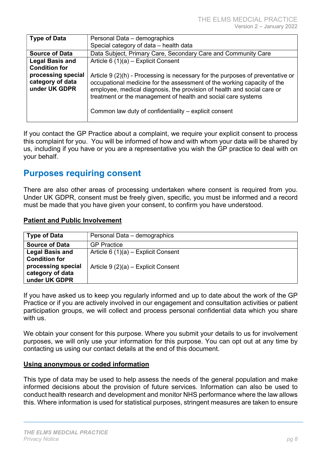| <b>Type of Data</b>    | Personal Data - demographics                                                    |
|------------------------|---------------------------------------------------------------------------------|
|                        | Special category of data - health data                                          |
| <b>Source of Data</b>  | Data Subject, Primary Care, Secondary Care and Community Care                   |
| <b>Legal Basis and</b> | Article 6 $(1)(a)$ – Explicit Consent                                           |
| <b>Condition for</b>   |                                                                                 |
| processing special     | Article $9(2)(h)$ - Processing is necessary for the purposes of preventative or |
| category of data       | occupational medicine for the assessment of the working capacity of the         |
| under UK GDPR          | employee, medical diagnosis, the provision of health and social care or         |
|                        | treatment or the management of health and social care systems                   |
|                        |                                                                                 |
|                        | Common law duty of confidentiality – explicit consent                           |
|                        |                                                                                 |

If you contact the GP Practice about a complaint, we require your explicit consent to process this complaint for you. You will be informed of how and with whom your data will be shared by us, including if you have or you are a representative you wish the GP practice to deal with on your behalf.

### Purposes requiring consent

There are also other areas of processing undertaken where consent is required from you. Under UK GDPR, consent must be freely given, specific, you must be informed and a record must be made that you have given your consent, to confirm you have understood.

#### Patient and Public Involvement

| <b>Type of Data</b>                                     | Personal Data - demographics          |
|---------------------------------------------------------|---------------------------------------|
| <b>Source of Data</b>                                   | <b>GP</b> Practice                    |
| <b>Legal Basis and</b><br><b>Condition for</b>          | Article 6 $(1)(a)$ – Explicit Consent |
| processing special<br>category of data<br>under UK GDPR | Article $9(2)(a)$ – Explicit Consent  |

If you have asked us to keep you regularly informed and up to date about the work of the GP Practice or if you are actively involved in our engagement and consultation activities or patient participation groups, we will collect and process personal confidential data which you share with us.

We obtain your consent for this purpose. Where you submit your details to us for involvement purposes, we will only use your information for this purpose. You can opt out at any time by contacting us using our contact details at the end of this document.

#### Using anonymous or coded information

This type of data may be used to help assess the needs of the general population and make informed decisions about the provision of future services. Information can also be used to conduct health research and development and monitor NHS performance where the law allows this. Where information is used for statistical purposes, stringent measures are taken to ensure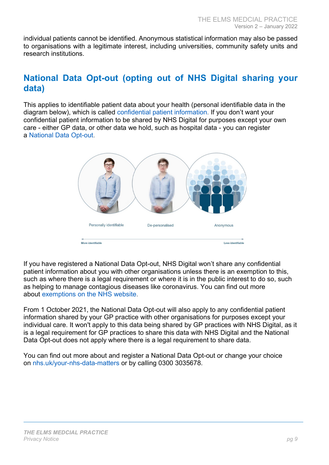individual patients cannot be identified. Anonymous statistical information may also be passed to organisations with a legitimate interest, including universities, community safety units and research institutions.

# National Data Opt-out (opting out of NHS Digital sharing your data)

This applies to identifiable patient data about your health (personal identifiable data in the diagram below), which is called confidential patient information. If you don't want your confidential patient information to be shared by NHS Digital for purposes except your own care - either GP data, or other data we hold, such as hospital data - you can register a National Data Opt-out.



If you have registered a National Data Opt-out, NHS Digital won't share any confidential patient information about you with other organisations unless there is an exemption to this, such as where there is a legal requirement or where it is in the public interest to do so, such as helping to manage contagious diseases like coronavirus. You can find out more about exemptions on the NHS website.

From 1 October 2021, the National Data Opt-out will also apply to any confidential patient information shared by your GP practice with other organisations for purposes except your individual care. It won't apply to this data being shared by GP practices with NHS Digital, as it is a legal requirement for GP practices to share this data with NHS Digital and the National Data Opt-out does not apply where there is a legal requirement to share data.

You can find out more about and register a National Data Opt-out or change your choice on nhs.uk/your-nhs-data-matters or by calling 0300 3035678.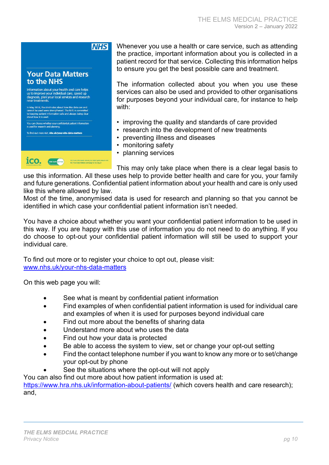### **NHS**

#### **Your Data Matters** to the NHS

Information about your health and care helps<br>us to improve your individual care, speed up<br>diagnosis, plan your local services and research<br>new treatments.

In May 2018, the strict rules about how this data can and<br>cannot be used were strengthened. The NHS is committed<br>to keeping patient information safe and always being clear<br>about how it is used.

.<br>You can choose whether your confidential patient information<br>is used for research and planning.

To find out more visit nhs.uk/your-nhs-data-matters



Whenever you use a health or care service, such as attending the practice, important information about you is collected in a patient record for that service. Collecting this information helps to ensure you get the best possible care and treatment.

The information collected about you when you use these services can also be used and provided to other organisations for purposes beyond your individual care, for instance to help with:

- improving the quality and standards of care provided
- research into the development of new treatments
- preventing illness and diseases
- monitoring safety
- planning services

This may only take place when there is a clear legal basis to

use this information. All these uses help to provide better health and care for you, your family and future generations. Confidential patient information about your health and care is only used like this where allowed by law.

Most of the time, anonymised data is used for research and planning so that you cannot be identified in which case your confidential patient information isn't needed.

You have a choice about whether you want your confidential patient information to be used in this way. If you are happy with this use of information you do not need to do anything. If you do choose to opt-out your confidential patient information will still be used to support your individual care.

To find out more or to register your choice to opt out, please visit: www.nhs.uk/your-nhs-data-matters

On this web page you will:

- See what is meant by confidential patient information
- Find examples of when confidential patient information is used for individual care and examples of when it is used for purposes beyond individual care
- Find out more about the benefits of sharing data
- Understand more about who uses the data
- Find out how your data is protected
- Be able to access the system to view, set or change your opt-out setting
- Find the contact telephone number if you want to know any more or to set/change your opt-out by phone
	- See the situations where the opt-out will not apply

You can also find out more about how patient information is used at: https://www.hra.nhs.uk/information-about-patients/ (which covers health and care research); and,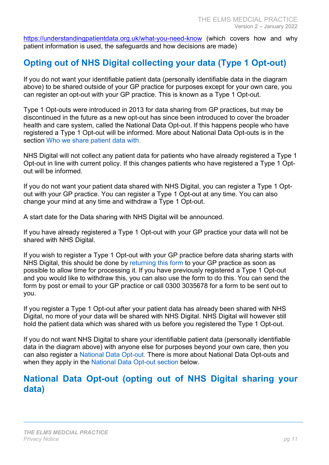https://understandingpatientdata.org.uk/what-you-need-know (which covers how and why patient information is used, the safeguards and how decisions are made)

# Opting out of NHS Digital collecting your data (Type 1 Opt-out)

If you do not want your identifiable patient data (personally identifiable data in the diagram above) to be shared outside of your GP practice for purposes except for your own care, you can register an opt-out with your GP practice. This is known as a Type 1 Opt-out.

Type 1 Opt-outs were introduced in 2013 for data sharing from GP practices, but may be discontinued in the future as a new opt-out has since been introduced to cover the broader health and care system, called the National Data Opt-out. If this happens people who have registered a Type 1 Opt-out will be informed. More about National Data Opt-outs is in the section Who we share patient data with.

NHS Digital will not collect any patient data for patients who have already registered a Type 1 Opt-out in line with current policy. If this changes patients who have registered a Type 1 Optout will be informed.

If you do not want your patient data shared with NHS Digital, you can register a Type 1 Optout with your GP practice. You can register a Type 1 Opt-out at any time. You can also change your mind at any time and withdraw a Type 1 Opt-out.

A start date for the Data sharing with NHS Digital will be announced.

If you have already registered a Type 1 Opt-out with your GP practice your data will not be shared with NHS Digital.

If you wish to register a Type 1 Opt-out with your GP practice before data sharing starts with NHS Digital, this should be done by returning this form to your GP practice as soon as possible to allow time for processing it. If you have previously registered a Type 1 Opt-out and you would like to withdraw this, you can also use the form to do this. You can send the form by post or email to your GP practice or call 0300 3035678 for a form to be sent out to you.

If you register a Type 1 Opt-out after your patient data has already been shared with NHS Digital, no more of your data will be shared with NHS Digital. NHS Digital will however still hold the patient data which was shared with us before you registered the Type 1 Opt-out.

If you do not want NHS Digital to share your identifiable patient data (personally identifiable data in the diagram above) with anyone else for purposes beyond your own care, then you can also register a National Data Opt-out. There is more about National Data Opt-outs and when they apply in the National Data Opt-out section below.

# National Data Opt-out (opting out of NHS Digital sharing your data)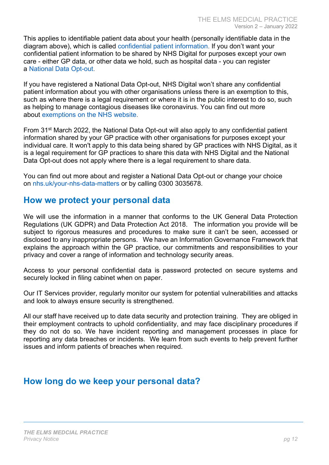This applies to identifiable patient data about your health (personally identifiable data in the diagram above), which is called confidential patient information. If you don't want your confidential patient information to be shared by NHS Digital for purposes except your own care - either GP data, or other data we hold, such as hospital data - you can register a National Data Opt-out.

If you have registered a National Data Opt-out, NHS Digital won't share any confidential patient information about you with other organisations unless there is an exemption to this, such as where there is a legal requirement or where it is in the public interest to do so, such as helping to manage contagious diseases like coronavirus. You can find out more about exemptions on the NHS website.

From 31st March 2022, the National Data Opt-out will also apply to any confidential patient information shared by your GP practice with other organisations for purposes except your individual care. It won't apply to this data being shared by GP practices with NHS Digital, as it is a legal requirement for GP practices to share this data with NHS Digital and the National Data Opt-out does not apply where there is a legal requirement to share data.

You can find out more about and register a National Data Opt-out or change your choice on nhs.uk/your-nhs-data-matters or by calling 0300 3035678.

# How we protect your personal data

We will use the information in a manner that conforms to the UK General Data Protection Regulations (UK GDPR) and Data Protection Act 2018. The information you provide will be subject to rigorous measures and procedures to make sure it can't be seen, accessed or disclosed to any inappropriate persons. We have an Information Governance Framework that explains the approach within the GP practice, our commitments and responsibilities to your privacy and cover a range of information and technology security areas.

Access to your personal confidential data is password protected on secure systems and securely locked in filing cabinet when on paper.

Our IT Services provider, regularly monitor our system for potential vulnerabilities and attacks and look to always ensure security is strengthened.

All our staff have received up to date data security and protection training. They are obliged in their employment contracts to uphold confidentiality, and may face disciplinary procedures if they do not do so. We have incident reporting and management processes in place for reporting any data breaches or incidents. We learn from such events to help prevent further issues and inform patients of breaches when required.

# How long do we keep your personal data?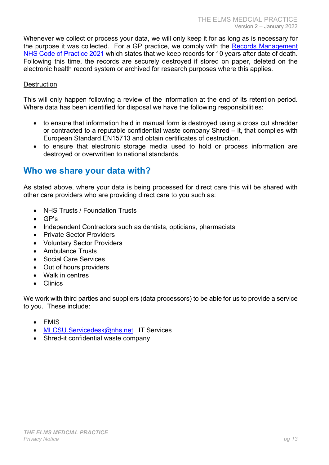Whenever we collect or process your data, we will only keep it for as long as is necessary for the purpose it was collected. For a GP practice, we comply with the Records Management NHS Code of Practice 2021 which states that we keep records for 10 years after date of death. Following this time, the records are securely destroyed if stored on paper, deleted on the electronic health record system or archived for research purposes where this applies.

#### **Destruction**

This will only happen following a review of the information at the end of its retention period. Where data has been identified for disposal we have the following responsibilities:

- to ensure that information held in manual form is destroyed using a cross cut shredder or contracted to a reputable confidential waste company Shred – it, that complies with European Standard EN15713 and obtain certificates of destruction.
- to ensure that electronic storage media used to hold or process information are destroyed or overwritten to national standards.

### Who we share your data with?

As stated above, where your data is being processed for direct care this will be shared with other care providers who are providing direct care to you such as:

- NHS Trusts / Foundation Trusts
- GP's
- Independent Contractors such as dentists, opticians, pharmacists
- Private Sector Providers
- Voluntary Sector Providers
- Ambulance Trusts
- Social Care Services
- Out of hours providers
- Walk in centres
- Clinics

We work with third parties and suppliers (data processors) to be able for us to provide a service to you. These include:

- $\bullet$  FMIS
- MLCSU.Servicedesk@nhs.net IT Services
- Shred-it confidential waste company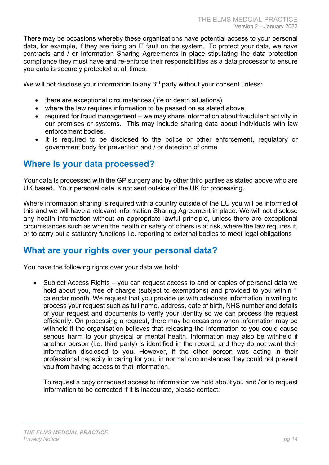There may be occasions whereby these organisations have potential access to your personal data, for example, if they are fixing an IT fault on the system. To protect your data, we have contracts and / or Information Sharing Agreements in place stipulating the data protection compliance they must have and re-enforce their responsibilities as a data processor to ensure you data is securely protected at all times.

We will not disclose your information to any 3<sup>rd</sup> party without your consent unless:

- there are exceptional circumstances (life or death situations)
- where the law requires information to be passed on as stated above
- required for fraud management we may share information about fraudulent activity in our premises or systems. This may include sharing data about individuals with law enforcement bodies.
- It is required to be disclosed to the police or other enforcement, regulatory or government body for prevention and / or detection of crime

### Where is your data processed?

Your data is processed with the GP surgery and by other third parties as stated above who are UK based. Your personal data is not sent outside of the UK for processing.

Where information sharing is required with a country outside of the EU you will be informed of this and we will have a relevant Information Sharing Agreement in place. We will not disclose any health information without an appropriate lawful principle, unless there are exceptional circumstances such as when the health or safety of others is at risk, where the law requires it, or to carry out a statutory functions i.e. reporting to external bodies to meet legal obligations

### What are your rights over your personal data?

You have the following rights over your data we hold:

 Subject Access Rights – you can request access to and or copies of personal data we hold about you, free of charge (subject to exemptions) and provided to you within 1 calendar month. We request that you provide us with adequate information in writing to process your request such as full name, address, date of birth, NHS number and details of your request and documents to verify your identity so we can process the request efficiently. On processing a request, there may be occasions when information may be withheld if the organisation believes that releasing the information to you could cause serious harm to your physical or mental health. Information may also be withheld if another person (i.e. third party) is identified in the record, and they do not want their information disclosed to you. However, if the other person was acting in their professional capacity in caring for you, in normal circumstances they could not prevent you from having access to that information.

To request a copy or request access to information we hold about you and / or to request information to be corrected if it is inaccurate, please contact: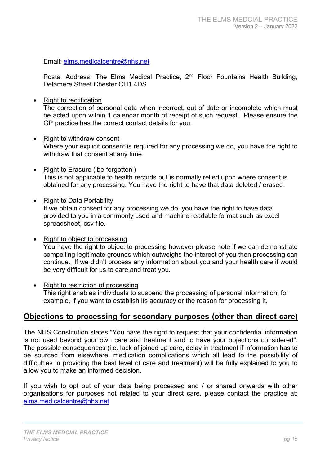Email: elms.medicalcentre@nhs.net

Postal Address: The Elms Medical Practice,  $2<sup>nd</sup>$  Floor Fountains Health Building, Delamere Street Chester CH1 4DS

• Right to rectification

The correction of personal data when incorrect, out of date or incomplete which must be acted upon within 1 calendar month of receipt of such request. Please ensure the GP practice has the correct contact details for you.

- Right to withdraw consent Where your explicit consent is required for any processing we do, you have the right to withdraw that consent at any time.
- Right to Erasure ('be forgotten') This is not applicable to health records but is normally relied upon where consent is obtained for any processing. You have the right to have that data deleted / erased.
- Right to Data Portability

If we obtain consent for any processing we do, you have the right to have data provided to you in a commonly used and machine readable format such as excel spreadsheet, csv file.

- Right to object to processing You have the right to object to processing however please note if we can demonstrate compelling legitimate grounds which outweighs the interest of you then processing can continue. If we didn't process any information about you and your health care if would be very difficult for us to care and treat you.
- Right to restriction of processing This right enables individuals to suspend the processing of personal information, for example, if you want to establish its accuracy or the reason for processing it.

#### Objections to processing for secondary purposes (other than direct care)

The NHS Constitution states "You have the right to request that your confidential information is not used beyond your own care and treatment and to have your objections considered". The possible consequences (i.e. lack of joined up care, delay in treatment if information has to be sourced from elsewhere, medication complications which all lead to the possibility of difficulties in providing the best level of care and treatment) will be fully explained to you to allow you to make an informed decision.

If you wish to opt out of your data being processed and / or shared onwards with other organisations for purposes not related to your direct care, please contact the practice at: elms.medicalcentre@nhs.net